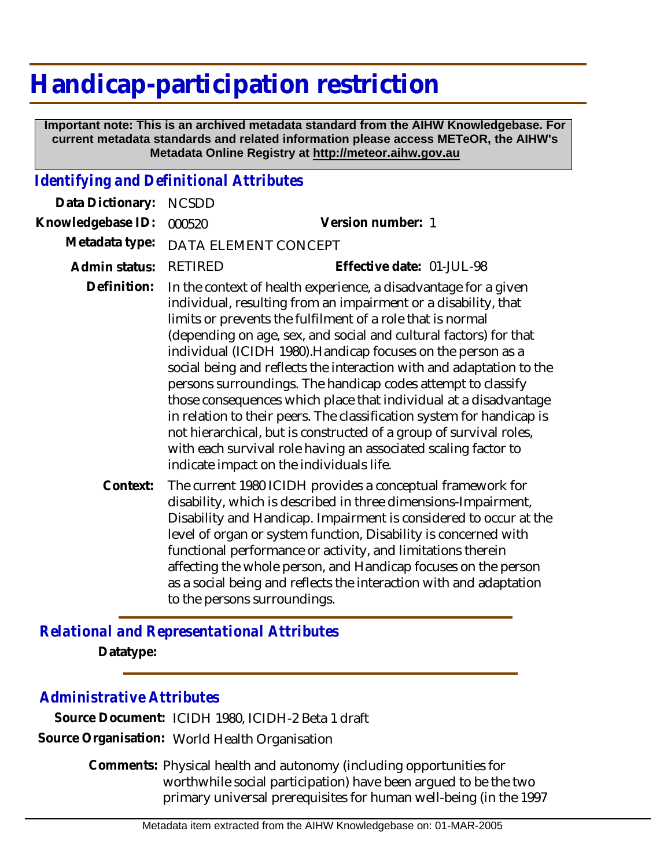## **Handicap-participation restriction**

 **Important note: This is an archived metadata standard from the AIHW Knowledgebase. For current metadata standards and related information please access METeOR, the AIHW's Metadata Online Registry at http://meteor.aihw.gov.au**

## *Identifying and Definitional Attributes*

| Data Dictionary:  | <b>NCSDD</b>                                                                                                                                                                                                                                                                                                                                                                                                                                                                                                                                                                                                                                                                                                                                                                                                  |                                                                                                                                                                                                                                                                                                                                                                                                                                                                                                             |
|-------------------|---------------------------------------------------------------------------------------------------------------------------------------------------------------------------------------------------------------------------------------------------------------------------------------------------------------------------------------------------------------------------------------------------------------------------------------------------------------------------------------------------------------------------------------------------------------------------------------------------------------------------------------------------------------------------------------------------------------------------------------------------------------------------------------------------------------|-------------------------------------------------------------------------------------------------------------------------------------------------------------------------------------------------------------------------------------------------------------------------------------------------------------------------------------------------------------------------------------------------------------------------------------------------------------------------------------------------------------|
| Knowledgebase ID: | 000520                                                                                                                                                                                                                                                                                                                                                                                                                                                                                                                                                                                                                                                                                                                                                                                                        | Version number: 1                                                                                                                                                                                                                                                                                                                                                                                                                                                                                           |
| Metadata type:    | DATA ELEMENT CONCEPT                                                                                                                                                                                                                                                                                                                                                                                                                                                                                                                                                                                                                                                                                                                                                                                          |                                                                                                                                                                                                                                                                                                                                                                                                                                                                                                             |
| Admin status:     | <b>RETIRED</b>                                                                                                                                                                                                                                                                                                                                                                                                                                                                                                                                                                                                                                                                                                                                                                                                | Effective date: 01-JUL-98                                                                                                                                                                                                                                                                                                                                                                                                                                                                                   |
| Definition:       | In the context of health experience, a disadvantage for a given<br>individual, resulting from an impairment or a disability, that<br>limits or prevents the fulfilment of a role that is normal<br>(depending on age, sex, and social and cultural factors) for that<br>individual (ICIDH 1980). Handicap focuses on the person as a<br>social being and reflects the interaction with and adaptation to the<br>persons surroundings. The handicap codes attempt to classify<br>those consequences which place that individual at a disadvantage<br>in relation to their peers. The classification system for handicap is<br>not hierarchical, but is constructed of a group of survival roles,<br>with each survival role having an associated scaling factor to<br>indicate impact on the individuals life. |                                                                                                                                                                                                                                                                                                                                                                                                                                                                                                             |
| Context:          |                                                                                                                                                                                                                                                                                                                                                                                                                                                                                                                                                                                                                                                                                                                                                                                                               | The current 1980 ICIDH provides a conceptual framework for<br>disability, which is described in three dimensions-Impairment,<br>Disability and Handicap. Impairment is considered to occur at the<br>level of organ or system function, Disability is concerned with<br>functional performance or activity, and limitations therein<br>affecting the whole person, and Handicap focuses on the person<br>as a social being and reflects the interaction with and adaptation<br>to the persons surroundings. |

*Relational and Representational Attributes* **Datatype:**

## *Administrative Attributes*

**Source Document:** ICIDH 1980, ICIDH-2 Beta 1 draft **Source Organisation:** World Health Organisation

> Comments: Physical health and autonomy (including opportunities for worthwhile social participation) have been argued to be the two primary universal prerequisites for human well-being (in the 1997